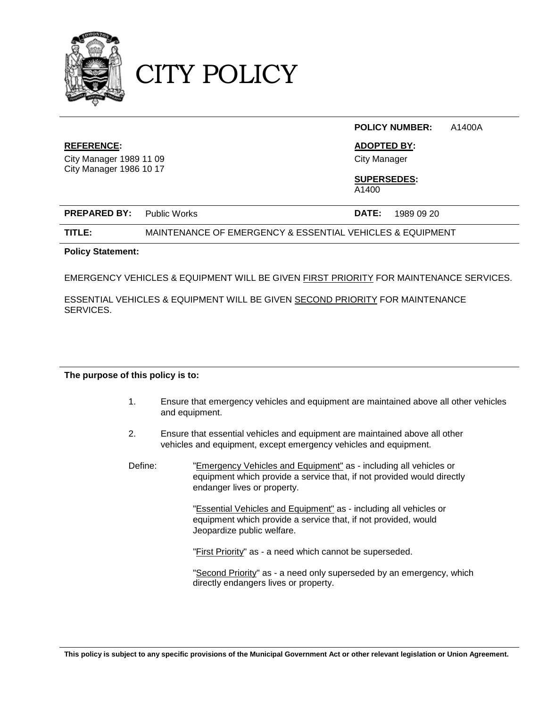

CITY POLICY

#### **POLICY NUMBER:** A1400A

#### **REFERENCE: ADOPTED BY:**

City Manager 1989 11 09 City Manager City Manager 1986 10 17

## **SUPERSEDES:**

A1400

| <b>PREPARED BY:</b> Public Works |  |  | <b>DATE:</b> 1989 09 20 |  |
|----------------------------------|--|--|-------------------------|--|
|----------------------------------|--|--|-------------------------|--|

**TITLE:** MAINTENANCE OF EMERGENCY & ESSENTIAL VEHICLES & EQUIPMENT

#### **Policy Statement:**

EMERGENCY VEHICLES & EQUIPMENT WILL BE GIVEN FIRST PRIORITY FOR MAINTENANCE SERVICES.

ESSENTIAL VEHICLES & EQUIPMENT WILL BE GIVEN SECOND PRIORITY FOR MAINTENANCE SERVICES.

#### **The purpose of this policy is to:**

- 1. Ensure that emergency vehicles and equipment are maintained above all other vehicles and equipment.
- 2. Ensure that essential vehicles and equipment are maintained above all other vehicles and equipment, except emergency vehicles and equipment.
- Define: "Emergency Vehicles and Equipment" as including all vehicles or equipment which provide a service that, if not provided would directly endanger lives or property.

"Essential Vehicles and Equipment" as - including all vehicles or equipment which provide a service that, if not provided, would Jeopardize public welfare.

"First Priority" as - a need which cannot be superseded.

"Second Priority" as - a need only superseded by an emergency, which directly endangers lives or property.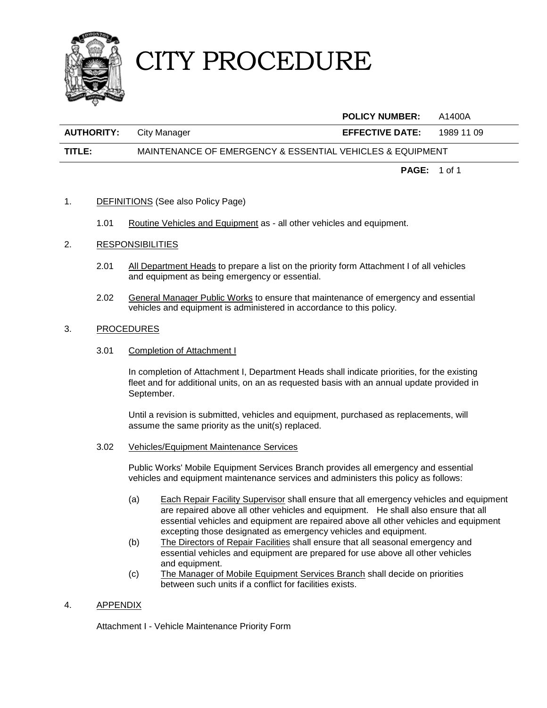

# CITY PROCEDURE

|                   |                                                           | <b>POLICY NUMBER:</b>  | A1400A     |
|-------------------|-----------------------------------------------------------|------------------------|------------|
| <b>AUTHORITY:</b> | City Manager                                              | <b>EFFECTIVE DATE:</b> | 1989 11 09 |
| TITLE:            | MAINTENANCE OF EMERGENCY & ESSENTIAL VEHICLES & EQUIPMENT |                        |            |

**PAGE:** 1 of 1

- 1. DEFINITIONS (See also Policy Page)
	- 1.01 Routine Vehicles and Equipment as all other vehicles and equipment.
- 2. RESPONSIBILITIES
	- 2.01 All Department Heads to prepare a list on the priority form Attachment I of all vehicles and equipment as being emergency or essential.
	- 2.02 General Manager Public Works to ensure that maintenance of emergency and essential vehicles and equipment is administered in accordance to this policy.

#### 3. PROCEDURES

3.01 Completion of Attachment I

In completion of Attachment I, Department Heads shall indicate priorities, for the existing fleet and for additional units, on an as requested basis with an annual update provided in September.

Until a revision is submitted, vehicles and equipment, purchased as replacements, will assume the same priority as the unit(s) replaced.

3.02 Vehicles/Equipment Maintenance Services

Public Works' Mobile Equipment Services Branch provides all emergency and essential vehicles and equipment maintenance services and administers this policy as follows:

- (a) Each Repair Facility Supervisor shall ensure that all emergency vehicles and equipment are repaired above all other vehicles and equipment. He shall also ensure that all essential vehicles and equipment are repaired above all other vehicles and equipment excepting those designated as emergency vehicles and equipment.
- (b) The Directors of Repair Facilities shall ensure that all seasonal emergency and essential vehicles and equipment are prepared for use above all other vehicles and equipment.
- (c) The Manager of Mobile Equipment Services Branch shall decide on priorities between such units if a conflict for facilities exists.
- 4. APPENDIX

Attachment I - Vehicle Maintenance Priority Form